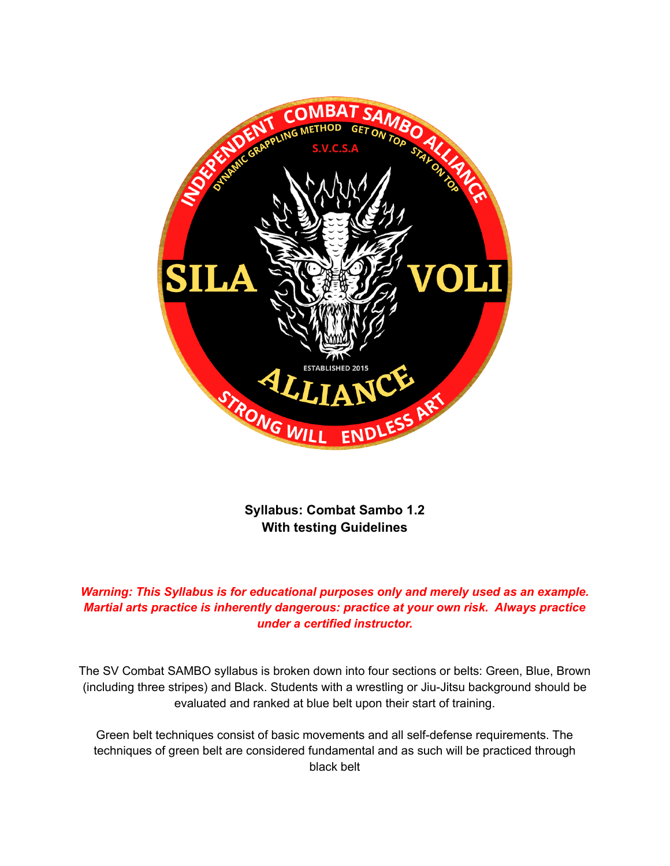

**Syllabus: Combat Sambo 1.2 With testing Guidelines**

*Warning: This Syllabus is for educational purposes only and merely used as an example. Martial arts practice is inherently dangerous: practice at your own risk. Always practice under a certified instructor.*

The SV Combat SAMBO syllabus is broken down into four sections or belts: Green, Blue, Brown (including three stripes) and Black. Students with a wrestling or Jiu-Jitsu background should be evaluated and ranked at blue belt upon their start of training.

Green belt techniques consist of basic movements and all self-defense requirements. The techniques of green belt are considered fundamental and as such will be practiced through black belt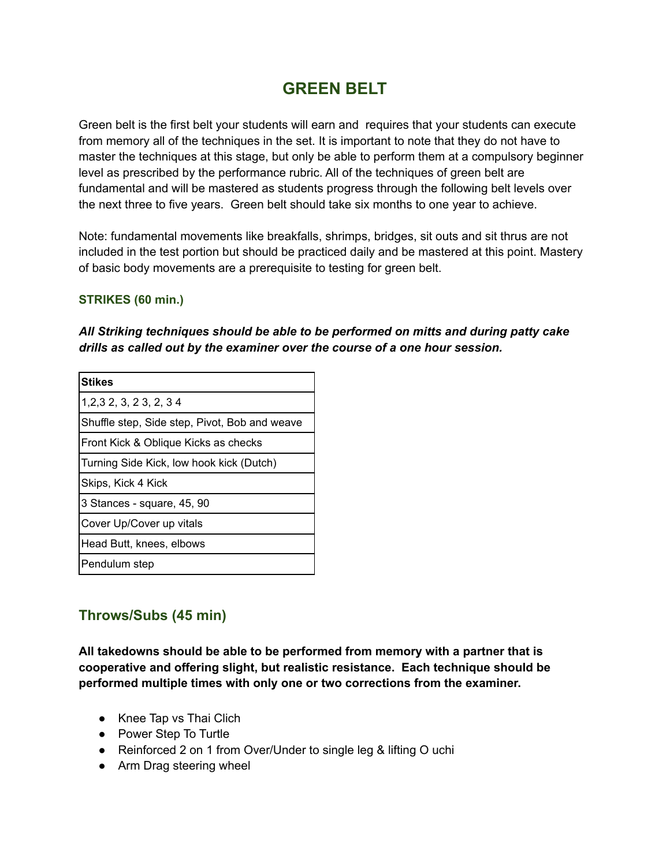# **GREEN BELT**

Green belt is the first belt your students will earn and requires that your students can execute from memory all of the techniques in the set. It is important to note that they do not have to master the techniques at this stage, but only be able to perform them at a compulsory beginner level as prescribed by the performance rubric. All of the techniques of green belt are fundamental and will be mastered as students progress through the following belt levels over the next three to five years. Green belt should take six months to one year to achieve.

Note: fundamental movements like breakfalls, shrimps, bridges, sit outs and sit thrus are not included in the test portion but should be practiced daily and be mastered at this point. Mastery of basic body movements are a prerequisite to testing for green belt.

#### **STRIKES (60 min.)**

#### *All Striking techniques should be able to be performed on mitts and during patty cake drills as called out by the examiner over the course of a one hour session.*

| <b>Stikes</b>                                 |
|-----------------------------------------------|
| 1, 2, 3 2, 3, 2 3, 2, 3 4                     |
| Shuffle step, Side step, Pivot, Bob and weave |
| Front Kick & Oblique Kicks as checks          |
| Turning Side Kick, low hook kick (Dutch)      |
| Skips, Kick 4 Kick                            |
| 3 Stances - square, 45, 90                    |
| Cover Up/Cover up vitals                      |
| Head Butt, knees, elbows                      |
| Pendulum step                                 |

### **Throws/Subs (45 min)**

**All takedowns should be able to be performed from memory with a partner that is cooperative and offering slight, but realistic resistance. Each technique should be performed multiple times with only one or two corrections from the examiner.**

- Knee Tap vs Thai Clich
- Power Step To Turtle
- Reinforced 2 on 1 from Over/Under to single leg & lifting O uchi
- Arm Drag steering wheel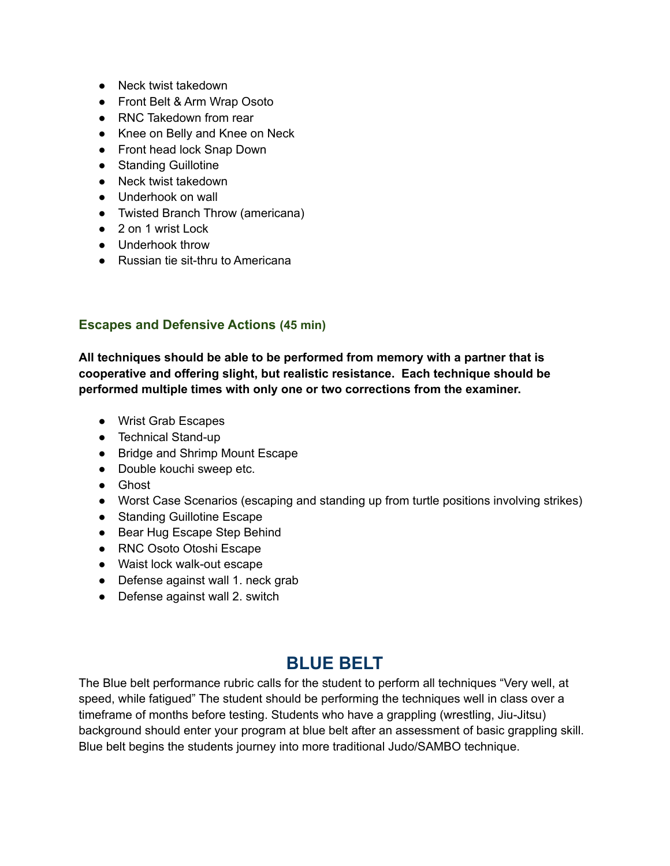- Neck twist takedown
- Front Belt & Arm Wrap Osoto
- RNC Takedown from rear
- Knee on Belly and Knee on Neck
- Front head lock Snap Down
- Standing Guillotine
- Neck twist takedown
- Underhook on wall
- Twisted Branch Throw (americana)
- 2 on 1 wrist Lock
- Underhook throw
- Russian tie sit-thru to Americana

#### **Escapes and Defensive Actions (45 min)**

**All techniques should be able to be performed from memory with a partner that is cooperative and offering slight, but realistic resistance. Each technique should be performed multiple times with only one or two corrections from the examiner.**

- Wrist Grab Escapes
- Technical Stand-up
- Bridge and Shrimp Mount Escape
- Double kouchi sweep etc.
- Ghost
- Worst Case Scenarios (escaping and standing up from turtle positions involving strikes)
- Standing Guillotine Escape
- Bear Hug Escape Step Behind
- RNC Osoto Otoshi Escape
- Waist lock walk-out escape
- Defense against wall 1. neck grab
- Defense against wall 2. switch

# **BLUE BELT**

The Blue belt performance rubric calls for the student to perform all techniques "Very well, at speed, while fatigued" The student should be performing the techniques well in class over a timeframe of months before testing. Students who have a grappling (wrestling, Jiu-Jitsu) background should enter your program at blue belt after an assessment of basic grappling skill. Blue belt begins the students journey into more traditional Judo/SAMBO technique.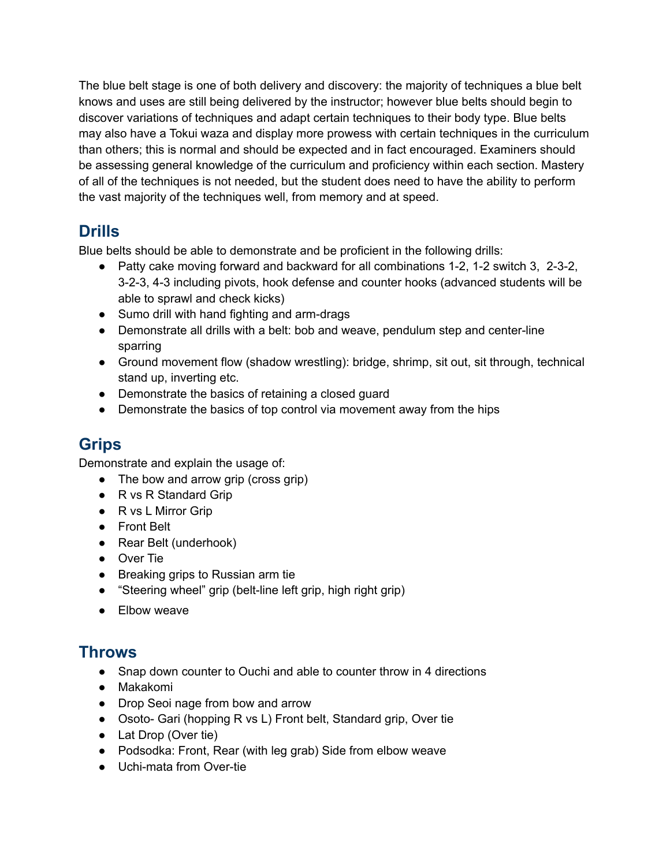The blue belt stage is one of both delivery and discovery: the majority of techniques a blue belt knows and uses are still being delivered by the instructor; however blue belts should begin to discover variations of techniques and adapt certain techniques to their body type. Blue belts may also have a Tokui waza and display more prowess with certain techniques in the curriculum than others; this is normal and should be expected and in fact encouraged. Examiners should be assessing general knowledge of the curriculum and proficiency within each section. Mastery of all of the techniques is not needed, but the student does need to have the ability to perform the vast majority of the techniques well, from memory and at speed.

## **Drills**

Blue belts should be able to demonstrate and be proficient in the following drills:

- Patty cake moving forward and backward for all combinations 1-2, 1-2 switch 3, 2-3-2, 3-2-3, 4-3 including pivots, hook defense and counter hooks (advanced students will be able to sprawl and check kicks)
- Sumo drill with hand fighting and arm-drags
- Demonstrate all drills with a belt: bob and weave, pendulum step and center-line sparring
- Ground movement flow (shadow wrestling): bridge, shrimp, sit out, sit through, technical stand up, inverting etc.
- Demonstrate the basics of retaining a closed guard
- Demonstrate the basics of top control via movement away from the hips

# **Grips**

Demonstrate and explain the usage of:

- The bow and arrow grip (cross grip)
- R vs R Standard Grip
- R vs L Mirror Grip
- Front Belt
- Rear Belt (underhook)
- Over Tie
- Breaking grips to Russian arm tie
- "Steering wheel" grip (belt-line left grip, high right grip)
- Elbow weave

## **Throws**

- Snap down counter to Ouchi and able to counter throw in 4 directions
- Makakomi
- Drop Seoi nage from bow and arrow
- Osoto- Gari (hopping R vs L) Front belt, Standard grip, Over tie
- Lat Drop (Over tie)
- Podsodka: Front, Rear (with leg grab) Side from elbow weave
- Uchi-mata from Over-tie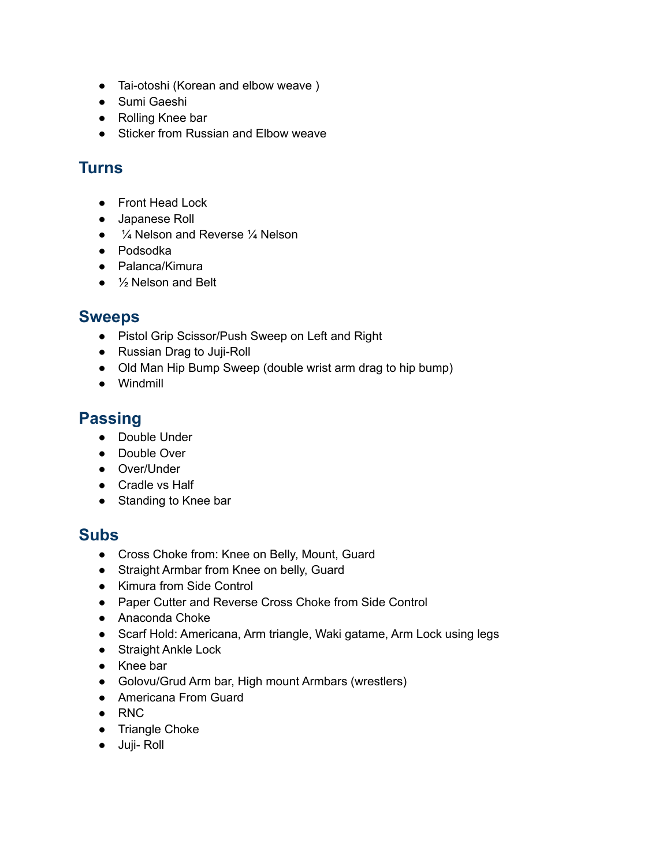- Tai-otoshi (Korean and elbow weave )
- Sumi Gaeshi
- Rolling Knee bar
- Sticker from Russian and Elbow weave

## **Turns**

- Front Head Lock
- Japanese Roll
- <sup>1</sup>/<sub>4</sub> Nelson and Reverse <sup>1</sup>/<sub>4</sub> Nelson
- Podsodka
- Palanca/Kimura
- $\bullet$   $\frac{1}{2}$  Nelson and Belt

### **Sweeps**

- Pistol Grip Scissor/Push Sweep on Left and Right
- Russian Drag to Juji-Roll
- Old Man Hip Bump Sweep (double wrist arm drag to hip bump)
- Windmill

## **Passing**

- Double Under
- Double Over
- Over/Under
- Cradle vs Half
- Standing to Knee bar

### **Subs**

- Cross Choke from: Knee on Belly, Mount, Guard
- Straight Armbar from Knee on belly, Guard
- Kimura from Side Control
- Paper Cutter and Reverse Cross Choke from Side Control
- Anaconda Choke
- Scarf Hold: Americana, Arm triangle, Waki gatame, Arm Lock using legs
- Straight Ankle Lock
- Knee bar
- Golovu/Grud Arm bar, High mount Armbars (wrestlers)
- Americana From Guard
- RNC
- Triangle Choke
- Juji- Roll